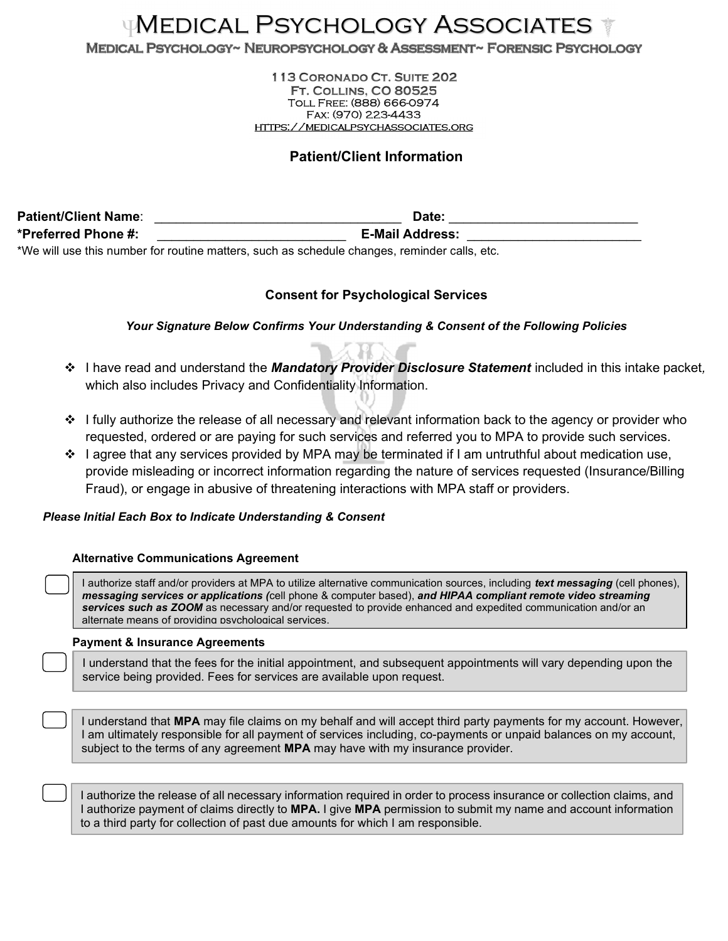# **WEDICAL PSYCHOLOGY ASSOCIATES**

MEDICAL PSYCHOLOGY~ NEUROPSYCHOLOGY & ASSESSMENT~ FORENSIC PSYCHOLOGY

113 CORONADO CT. SUITE 202 **FT. COLLINS, CO 80525** Toll Free: (888) 666-0974 Fax: (970) 223-4433 https://medicalpsychassociates.org

## Patient/Client Information

Patient/Client Name: \_\_\_\_\_\_\_\_\_\_\_\_\_\_\_\_\_\_\_\_\_\_\_\_\_\_\_\_\_\_\_\_\_\_ Date: \_\_\_\_\_\_\_\_\_\_\_\_\_\_\_\_\_\_\_\_\_\_\_\_\_\_ \*Preferred Phone #: \_\_\_\_\_\_\_\_\_\_\_\_\_\_\_\_\_\_\_\_\_\_\_\_\_\_ E-Mail Address: \_\_\_\_\_\_\_\_\_\_\_\_\_\_\_\_\_\_\_\_\_\_\_\_ \*We will use this number for routine matters, such as schedule changes, reminder calls, etc.

### Consent for Psychological Services

Your Signature Below Confirms Your Understanding & Consent of the Following Policies

- \* I have read and understand the Mandatory Provider Disclosure Statement included in this intake packet, which also includes Privacy and Confidentiality Information.
- $\div$  I fully authorize the release of all necessary and relevant information back to the agency or provider who requested, ordered or are paying for such services and referred you to MPA to provide such services.
- $\cdot \cdot$  I agree that any services provided by MPA may be terminated if I am untruthful about medication use, provide misleading or incorrect information regarding the nature of services requested (Insurance/Billing Fraud), or engage in abusive of threatening interactions with MPA staff or providers.

#### Please Initial Each Box to Indicate Understanding & Consent

#### Alternative Communications Agreement

I authorize staff and/or providers at MPA to utilize alternative communication sources, including *text messaging* (cell phones), messaging services or applications (cell phone & computer based), and HIPAA compliant remote video streaming services such as ZOOM as necessary and/or requested to provide enhanced and expedited communication and/or an alternate means of providing psychological services.

#### Payment & Insurance Agreements

I understand that the fees for the initial appointment, and subsequent appointments will vary depending upon the service being provided. Fees for services are available upon request.

I understand that MPA may file claims on my behalf and will accept third party payments for my account. However, I am ultimately responsible for all payment of services including, co-payments or unpaid balances on my account, subject to the terms of any agreement MPA may have with my insurance provider.

I authorize the release of all necessary information required in order to process insurance or collection claims, and I authorize payment of claims directly to MPA. I give MPA permission to submit my name and account information to a third party for collection of past due amounts for which I am responsible.